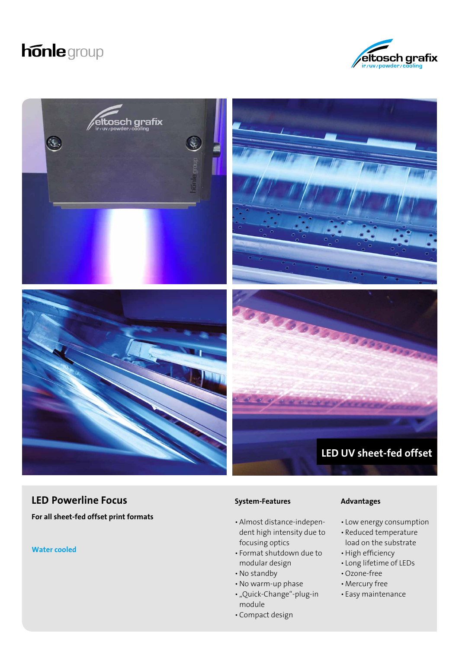# **honle** group





## **LED Powerline Focus**

**For all sheet-fed offset print formats** 

**Water cooled**

#### **System-Features**

- •Almost distance-independent high intensity due to focusing optics
- Format shutdown due to modular design
- No standby
- No warm-up phase
- "Quick-Change"-plug-in module
- •Compact design

#### **Advantages**

- Low energy consumption
- Reduced temperature load on the substrate
- High efficiency
- Long lifetime of LEDs
- Ozone-free
- •Mercury free
- Easy maintenance